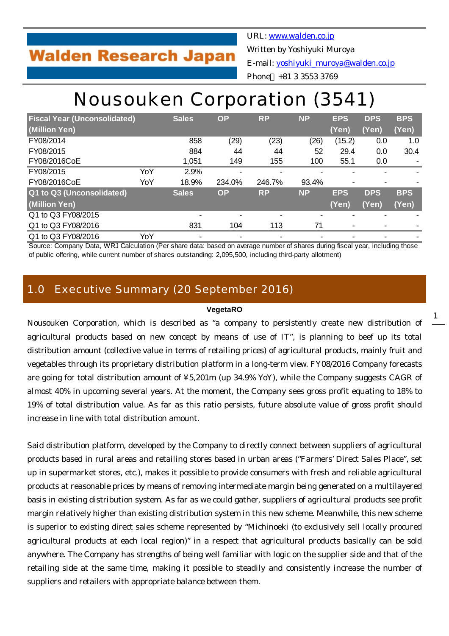## **Walden Research Japan**

URL: [www.walden.co.jp](http://www.walden.co.jp/) Written by Yoshiyuki Muroya E-mail: [yoshiyuki\\_muroya@walden.co.jp](mailto:yoshiyuki_muroya@walden.co.jp)

#### Phone +81 3 3553 3769

# Nousouken Corporation (3541)

| <b>Fiscal Year (Unconsolidated)</b> |     | <b>Sales</b>   | <b>OP</b>      | <b>RP</b>                | <b>NP</b> | <b>EPS</b>     | <b>DPS</b> | <b>BPS</b> |
|-------------------------------------|-----|----------------|----------------|--------------------------|-----------|----------------|------------|------------|
| (Million Yen)                       |     |                |                |                          |           | (Yen)          | (Yen)      | (Yen)      |
| FY08/2014                           |     | 858            | (29)           | (23)                     | (26)      | (15.2)         | 0.0        | 1.0        |
| FY08/2015                           |     | 884            | 44             | 44                       | 52        | 29.4           | 0.0        | 30.4       |
| FY08/2016CoE                        |     | 1,051          | 149            | 155                      | 100       | 55.1           | 0.0        |            |
| FY08/2015                           | YoY | 2.9%           | -              | $\blacksquare$           |           |                |            |            |
| FY08/2016CoE                        | YoY | 18.9%          | 234.0%         | 246.7%                   | 93.4%     | $\blacksquare$ |            |            |
| Q1 to Q3 (Unconsolidated)           |     | <b>Sales</b>   | <b>OP</b>      | <b>RP</b>                | <b>NP</b> | <b>EPS</b>     | <b>DPS</b> | <b>BPS</b> |
| (Million Yen)                       |     |                |                |                          |           | (Yen)          | (Yen)      | (Yen)      |
| Q1 to Q3 FY08/2015                  |     | ۰              |                | $\overline{\phantom{0}}$ |           |                |            |            |
| Q1 to Q3 FY08/2016                  |     | 831            | 104            | 113                      | 71        | $\blacksquare$ |            |            |
| Q1 to Q3 FY08/2016                  | YoY | $\blacksquare$ | $\blacksquare$ |                          |           |                |            |            |

Source: Company Data, WRJ Calculation (Per share data: based on average number of shares during fiscal year, including those of public offering, while current number of shares outstanding: 2,095,500, including third-party allotment)

### 1.0 Executive Summary (20 September 2016)

#### **VegetaRO**

Nousouken Corporation, which is described as "a company to persistently create new distribution of agricultural products based on new concept by means of use of IT", is planning to beef up its total distribution amount (collective value in terms of retailing prices) of agricultural products, mainly fruit and vegetables through its proprietary distribution platform in a long-term view. FY08/2016 Company forecasts are going for total distribution amount of ¥5,201m (up 34.9% YoY), while the Company suggests CAGR of almost 40% in upcoming several years. At the moment, the Company sees gross profit equating to 18% to 19% of total distribution value. As far as this ratio persists, future absolute value of gross profit should increase in line with total distribution amount.

Said distribution platform, developed by the Company to directly connect between suppliers of agricultural products based in rural areas and retailing stores based in urban areas ("Farmers' Direct Sales Place", set up in supermarket stores, etc.), makes it possible to provide consumers with fresh and reliable agricultural products at reasonable prices by means of removing intermediate margin being generated on a multilayered basis in existing distribution system. As far as we could gather, suppliers of agricultural products see profit margin relatively higher than existing distribution system in this new scheme. Meanwhile, this new scheme is superior to existing direct sales scheme represented by "Michinoeki (to exclusively sell locally procured agricultural products at each local region)" in a respect that agricultural products basically can be sold anywhere. The Company has strengths of being well familiar with logic on the supplier side and that of the retailing side at the same time, making it possible to steadily and consistently increase the number of suppliers and retailers with appropriate balance between them.

1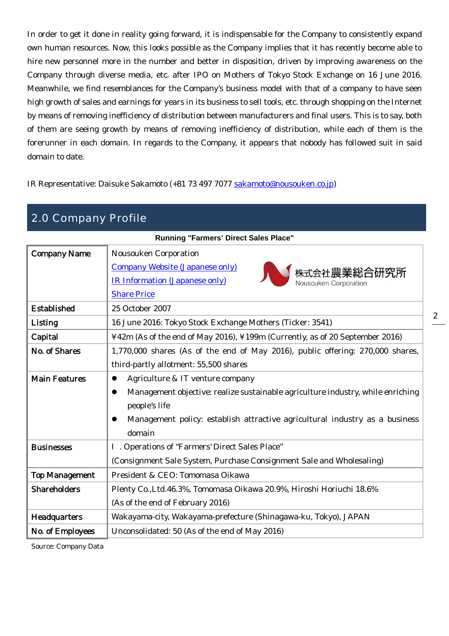In order to get it done in reality going forward, it is indispensable for the Company to consistently expand own human resources. Now, this looks possible as the Company implies that it has recently become able to hire new personnel more in the number and better in disposition, driven by improving awareness on the Company through diverse media, etc. after IPO on Mothers of Tokyo Stock Exchange on 16 June 2016. Meanwhile, we find resemblances for the Company's business model with that of a company to have seen high growth of sales and earnings for years in its business to sell tools, etc. through shopping on the Internet by means of removing inefficiency of distribution between manufacturers and final users. This is to say, both of them are seeing growth by means of removing inefficiency of distribution, while each of them is the forerunner in each domain. In regards to the Company, it appears that nobody has followed suit in said domain to date.

IR Representative: Daisuke Sakamoto (+81 73 497 7077 [sakamoto@nousouken.co.jp](mailto:sakamoto@nousouken.co.jp))

| 2.0 Company Profile                          |                                                                                      |  |  |  |  |
|----------------------------------------------|--------------------------------------------------------------------------------------|--|--|--|--|
| <b>Running "Farmers' Direct Sales Place"</b> |                                                                                      |  |  |  |  |
| <b>Company Name</b>                          | <b>Nousouken Corporation</b>                                                         |  |  |  |  |
|                                              | <b>Company Website (Japanese only)</b><br>株式会社農業総合研究所                                |  |  |  |  |
|                                              | <b>IR Information (Japanese only)</b><br>Nousouken Corporation                       |  |  |  |  |
|                                              | <b>Share Price</b>                                                                   |  |  |  |  |
| <b>Established</b>                           | 25 October 2007                                                                      |  |  |  |  |
| Listing                                      | 16 June 2016: Tokyo Stock Exchange Mothers (Ticker: 3541)                            |  |  |  |  |
| Capital                                      | ¥42m (As of the end of May 2016), ¥199m (Currently, as of 20 September 2016)         |  |  |  |  |
| No. of Shares                                | 1,770,000 shares (As of the end of May 2016), public offering: 270,000 shares,       |  |  |  |  |
|                                              | third-partly allotment: 55,500 shares                                                |  |  |  |  |
| <b>Main Features</b>                         | Agriculture & IT venture company<br>$\bullet$                                        |  |  |  |  |
|                                              | Management objective: realize sustainable agriculture industry, while enriching<br>0 |  |  |  |  |
|                                              | people's life                                                                        |  |  |  |  |
|                                              | Management policy: establish attractive agricultural industry as a business<br>0     |  |  |  |  |
|                                              | domain                                                                               |  |  |  |  |
| <b>Businesses</b>                            | . Operations of "Farmers' Direct Sales Place"                                        |  |  |  |  |
|                                              | (Consignment Sale System, Purchase Consignment Sale and Wholesaling)                 |  |  |  |  |
| <b>Top Management</b>                        | President & CEO: Tomomasa Oikawa                                                     |  |  |  |  |
| <b>Shareholders</b>                          | Plenty Co., Ltd. 46.3%, Tomomasa Oikawa 20.9%, Hiroshi Horiuchi 18.6%                |  |  |  |  |
|                                              | (As of the end of February 2016)                                                     |  |  |  |  |
| Headquarters                                 | Wakayama-city, Wakayama-prefecture (Shinagawa-ku, Tokyo), JAPAN                      |  |  |  |  |
| No. of Employees                             | Unconsolidated: 50 (As of the end of May 2016)                                       |  |  |  |  |

2

Source: Company Data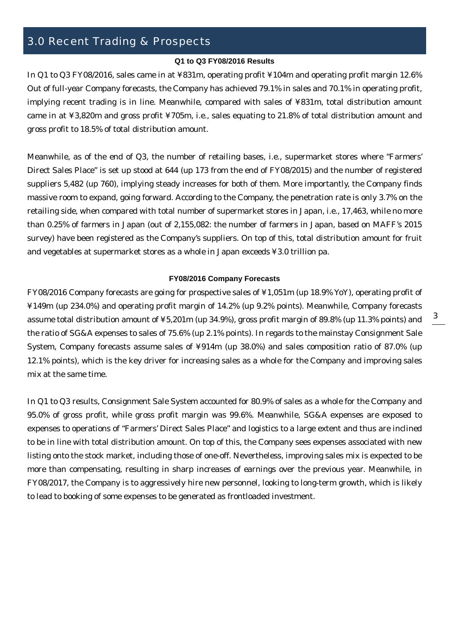## 3.0 Recent Trading & Prospects

#### **Q1 to Q3 FY08/2016 Results**

In Q1 to Q3 FY08/2016, sales came in at ¥831m, operating profit ¥104m and operating profit margin 12.6% Out of full-year Company forecasts, the Company has achieved 79.1% in sales and 70.1% in operating profit, implying recent trading is in line. Meanwhile, compared with sales of ¥831m, total distribution amount came in at ¥3,820m and gross profit ¥705m, i.e., sales equating to 21.8% of total distribution amount and gross profit to 18.5% of total distribution amount.

Meanwhile, as of the end of Q3, the number of retailing bases, i.e., supermarket stores where "Farmers' Direct Sales Place" is set up stood at 644 (up 173 from the end of FY08/2015) and the number of registered suppliers 5,482 (up 760), implying steady increases for both of them. More importantly, the Company finds massive room to expand, going forward. According to the Company, the penetration rate is only 3.7% on the retailing side, when compared with total number of supermarket stores in Japan, i.e., 17,463, while no more than 0.25% of farmers in Japan (out of 2,155,082: the number of farmers in Japan, based on MAFF's 2015 survey) have been registered as the Company's suppliers. On top of this, total distribution amount for fruit and vegetables at supermarket stores as a whole in Japan exceeds ¥3.0 trillion pa.

#### **FY08/2016 Company Forecasts**

FY08/2016 Company forecasts are going for prospective sales of ¥1,051m (up 18.9% YoY), operating profit of ¥149m (up 234.0%) and operating profit margin of 14.2% (up 9.2% points). Meanwhile, Company forecasts assume total distribution amount of ¥5,201m (up 34.9%), gross profit margin of 89.8% (up 11.3% points) and the ratio of SG&A expenses to sales of 75.6% (up 2.1% points). In regards to the mainstay Consignment Sale System, Company forecasts assume sales of ¥914m (up 38.0%) and sales composition ratio of 87.0% (up 12.1% points), which is the key driver for increasing sales as a whole for the Company and improving sales mix at the same time.

In Q1 to Q3 results, Consignment Sale System accounted for 80.9% of sales as a whole for the Company and 95.0% of gross profit, while gross profit margin was 99.6%. Meanwhile, SG&A expenses are exposed to expenses to operations of "Farmers' Direct Sales Place" and logistics to a large extent and thus are inclined to be in line with total distribution amount. On top of this, the Company sees expenses associated with new listing onto the stock market, including those of one-off. Nevertheless, improving sales mix is expected to be more than compensating, resulting in sharp increases of earnings over the previous year. Meanwhile, in FY08/2017, the Company is to aggressively hire new personnel, looking to long-term growth, which is likely to lead to booking of some expenses to be generated as frontloaded investment.